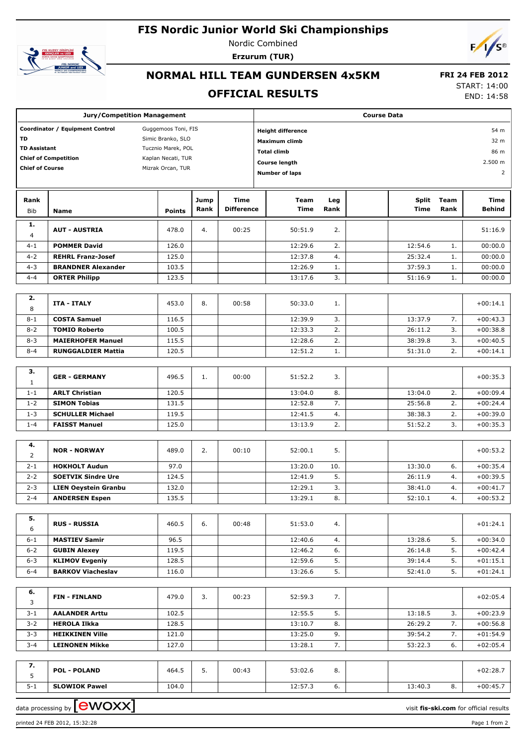# **FIS Nordic Junior World Ski Championships**



Nordic Combined **Erzurum (TUR)**



# **NORMAL HILL TEAM GUNDERSEN 4x5KM**

#### **OFFICIAL RESULTS**

 **FRI 24 FEB 2012** START: 14:00

END: 14:58

| <b>Jury/Competition Management</b>                     |                                                      |                    |      | <b>Course Data</b>               |                       |          |                    |          |                          |  |
|--------------------------------------------------------|------------------------------------------------------|--------------------|------|----------------------------------|-----------------------|----------|--------------------|----------|--------------------------|--|
| Coordinator / Equipment Control<br>Guggemoos Toni, FIS |                                                      |                    |      | <b>Height difference</b><br>54 m |                       |          |                    |          |                          |  |
| TD                                                     | Simic Branko, SLO                                    |                    |      | <b>Maximum climb</b>             |                       |          |                    | 32 m     |                          |  |
| <b>TD Assistant</b>                                    |                                                      | Tucznio Marek, POL |      |                                  | <b>Total climb</b>    | 86 m     |                    |          |                          |  |
|                                                        | <b>Chief of Competition</b>                          | Kaplan Necati, TUR |      |                                  | <b>Course length</b>  |          |                    |          | 2.500 m                  |  |
| <b>Chief of Course</b>                                 |                                                      | Mizrak Orcan, TUR  |      |                                  | <b>Number of laps</b> |          |                    |          |                          |  |
| 2                                                      |                                                      |                    |      |                                  |                       |          |                    |          |                          |  |
| Rank                                                   |                                                      |                    | Jump | <b>Time</b>                      | <b>Team</b>           | Leg      | <b>Split</b>       | Team     | Time                     |  |
| <b>Bib</b>                                             | <b>Name</b>                                          | <b>Points</b>      | Rank | <b>Difference</b>                | <b>Time</b>           | Rank     | Time               | Rank     | Behind                   |  |
| 1.<br>$\overline{4}$                                   | <b>AUT - AUSTRIA</b>                                 | 478.0              | 4.   | 00:25                            | 50:51.9               | 2.       |                    |          | 51:16.9                  |  |
| $4 - 1$                                                | <b>POMMER David</b>                                  | 126.0              |      |                                  | 12:29.6               | 2.       | 12:54.6            | 1.       | 00:00.0                  |  |
| $4 - 2$                                                | <b>REHRL Franz-Josef</b>                             | 125.0              |      |                                  | 12:37.8               | 4.       | 25:32.4            | 1.       | 00:00.0                  |  |
| $4 - 3$                                                | <b>BRANDNER Alexander</b>                            | 103.5              |      |                                  | 12:26.9               | 1.       | 37:59.3            | 1.       | 00:00.0                  |  |
| $4 - 4$                                                | <b>ORTER Philipp</b>                                 | 123.5              |      |                                  | 13:17.6               | 3.       | 51:16.9            | 1.       | 00:00.0                  |  |
| 2.<br>8                                                | <b>ITA - ITALY</b>                                   | 453.0              | 8.   | 00:58                            | 50:33.0               | 1.       |                    |          | $+00:14.1$               |  |
| $8 - 1$                                                | <b>COSTA Samuel</b>                                  | 116.5              |      |                                  | 12:39.9               | 3.       | 13:37.9            | 7.       | $+00:43.3$               |  |
| $8 - 2$                                                | <b>TOMIO Roberto</b>                                 | 100.5              |      |                                  | 12:33.3               | 2.       | 26:11.2            | 3.       | $+00:38.8$               |  |
| $8 - 3$                                                | <b>MAIERHOFER Manuel</b>                             | 115.5              |      |                                  | 12:28.6               | 2.       | 38:39.8            | 3.       | $+00:40.5$               |  |
| $8 - 4$                                                | <b>RUNGGALDIER Mattia</b>                            | 120.5              |      |                                  | 12:51.2               | 1.       | 51:31.0            | 2.       | $+00:14.1$               |  |
|                                                        |                                                      |                    |      |                                  |                       |          |                    |          |                          |  |
| 3.<br>$\mathbf{1}$                                     | <b>GER - GERMANY</b>                                 | 496.5              | 1.   | 00:00                            | 51:52.2               | 3.       |                    |          | $+00:35.3$               |  |
| $1 - 1$                                                | <b>ARLT Christian</b>                                | 120.5              |      |                                  | 13:04.0               | 8.       | 13:04.0            | 2.       | $+00:09.4$               |  |
| $1 - 2$                                                | <b>SIMON Tobias</b>                                  | 131.5              |      |                                  | 12:52.8               | 7.       | 25:56.8            | 2.       | $+00:24.4$               |  |
| $1 - 3$                                                | <b>SCHULLER Michael</b>                              | 119.5              |      |                                  | 12:41.5               | 4.       | 38:38.3            | 2.       | $+00:39.0$               |  |
| $1 - 4$                                                | <b>FAISST Manuel</b>                                 | 125.0              |      |                                  | 13:13.9               | 2.       | 51:52.2            | 3.       | $+00:35.3$               |  |
| 4.                                                     |                                                      |                    |      |                                  |                       |          |                    |          |                          |  |
| $\overline{2}$                                         | <b>NOR - NORWAY</b>                                  | 489.0              | 2.   | 00:10                            | 52:00.1               | 5.       |                    |          | $+00:53.2$               |  |
| $2 - 1$                                                | <b>HOKHOLT Audun</b>                                 | 97.0               |      |                                  | 13:20.0               | 10.      | 13:30.0            | 6.       | $+00:35.4$               |  |
| $2 - 2$                                                | <b>SOETVIK Sindre Ure</b>                            | 124.5              |      |                                  | 12:41.9               | 5.       | 26:11.9            | 4.       | $+00:39.5$<br>$+00:41.7$ |  |
| $2 - 3$<br>$2 - 4$                                     | <b>LIEN Oeystein Granbu</b><br><b>ANDERSEN Espen</b> | 132.0<br>135.5     |      |                                  | 12:29.1<br>13:29.1    | 3.<br>8. | 38:41.0<br>52:10.1 | 4.<br>4. | $+00:53.2$               |  |
|                                                        |                                                      |                    |      |                                  |                       |          |                    |          |                          |  |
| 5.<br>6                                                | <b>RUS - RUSSIA</b>                                  | 460.5              | 6.   | 00:48                            | 51:53.0               | 4.       |                    |          | $+01:24.1$               |  |
| $6 - 1$                                                | <b>MASTIEV Samir</b>                                 | 96.5               |      |                                  | 12:40.6               | 4.       | 13:28.6            | 5.       | $+00:34.0$               |  |
| $6 - 2$                                                | <b>GUBIN Alexey</b>                                  | 119.5              |      |                                  | 12:46.2               | 6.       | 26:14.8            | 5.       | $+00:42.4$               |  |
| $6 - 3$                                                | <b>KLIMOV Evgeniy</b>                                | 128.5              |      |                                  | 12:59.6               | 5.       | 39:14.4            | 5.       | $+01:15.1$               |  |
| $6 - 4$                                                | <b>BARKOV Viacheslav</b>                             | 116.0              |      |                                  | 13:26.6               | 5.       | 52:41.0            | 5.       | $+01:24.1$               |  |
| 6.                                                     |                                                      |                    |      |                                  |                       |          |                    |          |                          |  |
| 3                                                      | <b>FIN-FINLAND</b>                                   | 479.0              | 3.   | 00:23                            | 52:59.3               | 7.       |                    |          | $+02:05.4$               |  |
| $3 - 1$                                                | <b>AALANDER Arttu</b>                                | 102.5              |      |                                  | 12:55.5               | 5.       | 13:18.5            | 3.       | $+00:23.9$               |  |
| $3 - 2$                                                | <b>HEROLA Ilkka</b>                                  | 128.5              |      |                                  | 13:10.7               | 8.       | 26:29.2            | 7.       | $+00:56.8$               |  |
| $3 - 3$                                                | <b>HEIKKINEN Ville</b>                               | 121.0              |      |                                  | 13:25.0               | 9.       | 39:54.2            | 7.       | $+01:54.9$               |  |
| $3 - 4$                                                | <b>LEINONEN Mikke</b>                                | 127.0              |      |                                  | 13:28.1               | 7.       | 53:22.3            | 6.       | $+02:05.4$               |  |
| 7.<br>5                                                | <b>POL - POLAND</b>                                  | 464.5              | 5.   | 00:43                            | 53:02.6               | 8.       |                    |          | $+02:28.7$               |  |
| $5 - 1$                                                | <b>SLOWIOK Pawel</b>                                 | 104.0              |      |                                  | 12:57.3               | 6.       | 13:40.3            | 8.       | $+00:45.7$               |  |
|                                                        | $\Gamma$ and $\Gamma$ and $\Gamma$                   |                    |      |                                  |                       |          |                    |          |                          |  |

data processing by **CWOXX**  $\blacksquare$ 

printed 24 FEB 2012, 15:32:28 Page 1 from 2